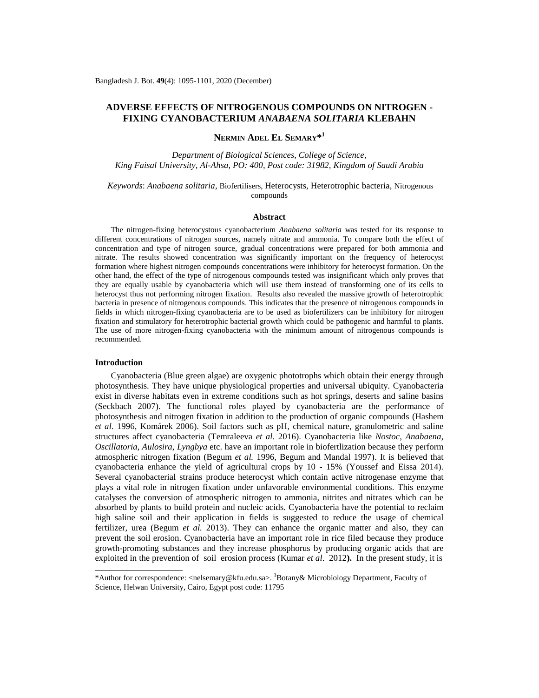# **ADVERSE EFFECTS OF NITROGENOUS COMPOUNDS ON NITROGEN - FIXING CYANOBACTERIUM** *ANABAENA SOLITARIA* **KLEBAHN**

**NERMIN ADEL EL SEMARY\* 1**

*Department of Biological Sciences, College of Science, King Faisal University, Al-Ahsa, PO: 400, Post code: 31982, Kingdom of Saudi Arabia*

*Keywords*: *Anabaena solitaria*, Biofertilisers, Heterocysts, Heterotrophic bacteria, Nitrogenous compounds

# **Abstract**

The nitrogen-fixing heterocystous cyanobacterium *Anabaena solitaria* was tested for its response to different concentrations of nitrogen sources, namely nitrate and ammonia. To compare both the effect of concentration and type of nitrogen source, gradual concentrations were prepared for both ammonia and nitrate. The results showed concentration was significantly important on the frequency of heterocyst formation where highest nitrogen compounds concentrations were inhibitory for heterocyst formation. On the other hand, the effect of the type of nitrogenous compounds tested was insignificant which only proves that they are equally usable by cyanobacteria which will use them instead of transforming one of its cells to heterocyst thus not performing nitrogen fixation. Results also revealed the massive growth of heterotrophic bacteria in presence of nitrogenous compounds. This indicates that the presence of nitrogenous compounds in fields in which nitrogen-fixing cyanobacteria are to be used as biofertilizers can be inhibitory for nitrogen fixation and stimulatory for heterotrophic bacterial growth which could be pathogenic and harmful to plants. The use of more nitrogen-fixing cyanobacteria with the minimum amount of nitrogenous compounds is recommended.

### **Introduction**

Cyanobacteria (Blue green algae) are oxygenic phototrophs which obtain their energy through photosynthesis. They have unique physiological properties and universal ubiquity. Cyanobacteria exist in diverse habitats even in extreme conditions such as hot springs, deserts and saline basins (Seckbach 2007). The functional roles played by cyanobacteria are the performance of photosynthesis and nitrogen fixation in addition to the production of organic compounds (Hashem *et al.* 1996, Komárek 2006). Soil factors such as pH, chemical nature, granulometric and saline structures affect cyanobacteria (Temraleeva *et al*. 2016). Cyanobacteria like *Nostoc, Anabaena*, *Oscillatoria, Aulosira*, *Lyngbya* etc. have an important role in biofertlization because they perform atmospheric nitrogen fixation (Begum *et al.* 1996, Begum and Mandal 1997). It is believed that cyanobacteria enhance the yield of agricultural crops by 10 - 15% (Youssef and Eissa 2014). Several cyanobacterial strains produce heterocyst which contain active nitrogenase enzyme that plays a vital role in nitrogen fixation under unfavorable environmental conditions. This enzyme catalyses the conversion of atmospheric nitrogen to ammonia, nitrites and nitrates which can be absorbed by plants to build protein and nucleic acids. Cyanobacteria have the potential to reclaim high saline soil and their application in fields is suggested to reduce the usage of chemical fertilizer, urea (Begum *et al.* 2013). They can enhance the organic matter and also, they can prevent the soil erosion. Cyanobacteria have an important role in rice filed because they produce growth-promoting substances and they increase phosphorus by producing organic acids that are exploited in the prevention of soil erosion process (Kumar *et al*. 2012**).** In the present study, it is

<sup>\*</sup>Author for correspondence: [<nelsemary@kfu.edu.sa>](mailto:nelsemary@kfu.edu.sa). <sup>1</sup>Botany& Microbiology Department, Faculty of Science, Helwan University, Cairo, Egypt post code: 11795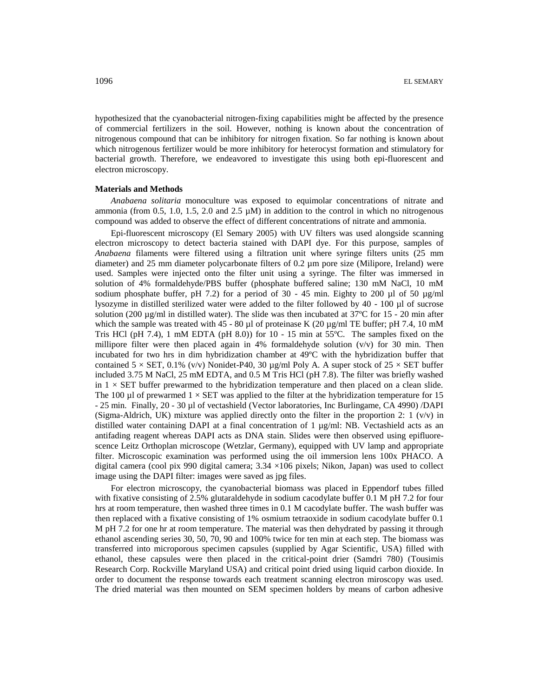hypothesized that the cyanobacterial nitrogen-fixing capabilities might be affected by the presence of commercial fertilizers in the soil. However, nothing is known about the concentration of nitrogenous compound that can be inhibitory for nitrogen fixation. So far nothing is known about which nitrogenous fertilizer would be more inhibitory for heterocyst formation and stimulatory for bacterial growth. Therefore, we endeavored to investigate this using both epi-fluorescent and electron microscopy.

### **Materials and Methods**

*Anabaena solitaria* monoculture was exposed to equimolar concentrations of nitrate and ammonia (from 0.5, 1.0, 1.5, 2.0 and 2.5  $\mu$ M) in addition to the control in which no nitrogenous compound was added to observe the effect of different concentrations of nitrate and ammonia.

Epi-fluorescent microscopy (El Semary 2005) with UV filters was used alongside scanning electron microscopy to detect bacteria stained with DAPI dye. For this purpose, samples of *Anabaena* filaments were filtered using a filtration unit where syringe filters units (25 mm diameter) and 25 mm diameter polycarbonate filters of 0.2 µm pore size (Milipore, Ireland) were used. Samples were injected onto the filter unit using a syringe. The filter was immersed in solution of 4% formaldehyde/PBS buffer (phosphate buffered saline; 130 mM NaCl, 10 mM sodium phosphate buffer, pH 7.2) for a period of  $30 - 45$  min. Eighty to 200 µl of  $50 \text{ µg/ml}$ lysozyme in distilled sterilized water were added to the filter followed by 40 - 100 µl of sucrose solution (200  $\mu$ g/ml in distilled water). The slide was then incubated at 37 $\degree$ C for 15 - 20 min after which the sample was treated with  $45 - 80 \mu l$  of proteinase K (20  $\mu$ g/ml TE buffer; pH 7.4, 10 mM Tris HCl (pH 7.4), 1 mM EDTA (pH 8.0)) for  $10 - 15$  min at  $55^{\circ}$ C. The samples fixed on the millipore filter were then placed again in 4% formaldehyde solution  $(v/v)$  for 30 min. Then incubated for two hrs in dim hybridization chamber at 49ºC with the hybridization buffer that contained  $5 \times$  SET, 0.1% (v/v) Nonidet-P40, 30 µg/ml Poly A. A super stock of  $25 \times$  SET buffer included 3.75 M NaCl, 25 mM EDTA, and 0.5 M Tris HCl (pH 7.8). The filter was briefly washed in  $1 \times$  SET buffer prewarmed to the hybridization temperature and then placed on a clean slide. The 100 µl of prewarmed  $1 \times$  SET was applied to the filter at the hybridization temperature for 15 - 25 min. Finally, 20 - 30 µl of vectashield (Vector laboratories, Inc Burlingame, CA 4990) /DAPI (Sigma-Aldrich, UK) mixture was applied directly onto the filter in the proportion 2:  $1 \frac{v}{v}$  in distilled water containing DAPI at a final concentration of 1 µg/ml: NB. Vectashield acts as an antifading reagent whereas DAPI acts as DNA stain. Slides were then observed using epifluorescence Leitz Orthoplan microscope (Wetzlar, Germany), equipped with UV lamp and appropriate filter. Microscopic examination was performed using the oil immersion lens 100x PHACO. A digital camera (cool pix 990 digital camera; 3.34 ×106 pixels; Nikon, Japan) was used to collect image using the DAPI filter: images were saved as jpg files.

For electron microscopy, the cyanobacterial biomass was placed in Eppendorf tubes filled with fixative consisting of 2.5% glutaraldehyde in sodium cacodylate buffer 0.1 M pH 7.2 for four hrs at room temperature, then washed three times in 0.1 M cacodylate buffer. The wash buffer was then replaced with a fixative consisting of 1% osmium tetraoxide in sodium cacodylate buffer 0.1 M pH 7.2 for one hr at room temperature. The material was then dehydrated by passing it through ethanol ascending series 30, 50, 70, 90 and 100% twice for ten min at each step. The biomass was transferred into microporous specimen capsules (supplied by Agar Scientific, USA) filled with ethanol, these capsules were then placed in the critical-point drier (Samdri 780) (Tousimis Research Corp. Rockville Maryland USA) and critical point dried using liquid carbon dioxide. In order to document the response towards each treatment scanning electron miroscopy was used. The dried material was then mounted on SEM specimen holders by means of carbon adhesive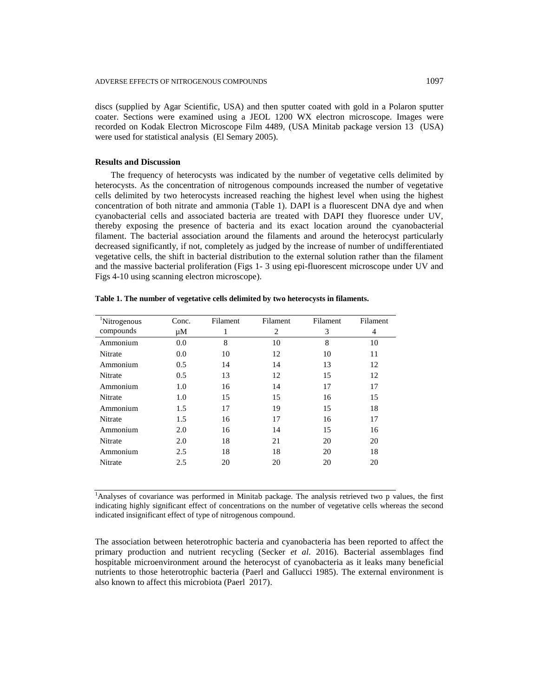discs (supplied by Agar Scientific, USA) and then sputter coated with gold in a Polaron sputter coater. Sections were examined using a JEOL 1200 WX electron microscope. Images were recorded on Kodak Electron Microscope Film 4489, (USA Minitab package version 13 (USA) were used for statistical analysis (El Semary 2005).

# **Results and Discussion**

The frequency of heterocysts was indicated by the number of vegetative cells delimited by heterocysts. As the concentration of nitrogenous compounds increased the number of vegetative cells delimited by two heterocysts increased reaching the highest level when using the highest concentration of both nitrate and ammonia (Table 1). DAPI is a fluorescent DNA dye and when cyanobacterial cells and associated bacteria are treated with DAPI they fluoresce under UV, thereby exposing the presence of bacteria and its exact location around the cyanobacterial filament. The bacterial association around the filaments and around the heterocyst particularly decreased significantly, if not, completely as judged by the increase of number of undifferentiated vegetative cells, the shift in bacterial distribution to the external solution rather than the filament and the massive bacterial proliferation (Figs 1- 3 using epi-fluorescent microscope under UV and Figs 4-10 using scanning electron microscope).

| <sup>1</sup> Nitrogenous | Conc. | Filament | Filament | Filament | Filament |
|--------------------------|-------|----------|----------|----------|----------|
| compounds                | μM    | 1        | 2        | 3        | 4        |
| Ammonium                 | 0.0   | 8        | 10       | 8        | 10       |
| Nitrate                  | 0.0   | 10       | 12       | 10       | 11       |
| Ammonium                 | 0.5   | 14       | 14       | 13       | 12       |
| Nitrate                  | 0.5   | 13       | 12       | 15       | 12       |
| Ammonium                 | 1.0   | 16       | 14       | 17       | 17       |
| Nitrate                  | 1.0   | 15       | 15       | 16       | 15       |
| Ammonium                 | 1.5   | 17       | 19       | 15       | 18       |
| Nitrate                  | 1.5   | 16       | 17       | 16       | 17       |
| Ammonium                 | 2.0   | 16       | 14       | 15       | 16       |
| Nitrate                  | 2.0   | 18       | 21       | 20       | 20       |
| Ammonium                 | 2.5   | 18       | 18       | 20       | 18       |
| Nitrate                  | 2.5   | 20       | 20       | 20       | 20       |
|                          |       |          |          |          |          |

**Table 1. The number of vegetative cells delimited by two heterocysts in filaments.**

<sup>1</sup>Analyses of covariance was performed in Minitab package. The analysis retrieved two p values, the first indicating highly significant effect of concentrations on the number of vegetative cells whereas the second indicated insignificant effect of type of nitrogenous compound.

The association between heterotrophic bacteria and cyanobacteria has been reported to affect the primary production and nutrient recycling (Secker *et al.* 2016). Bacterial assemblages find hospitable microenvironment around the heterocyst of cyanobacteria as it leaks many beneficial nutrients to those heterotrophic bacteria (Paerl and Gallucci 1985). The external environment is also known to affect this microbiota (Paerl 2017).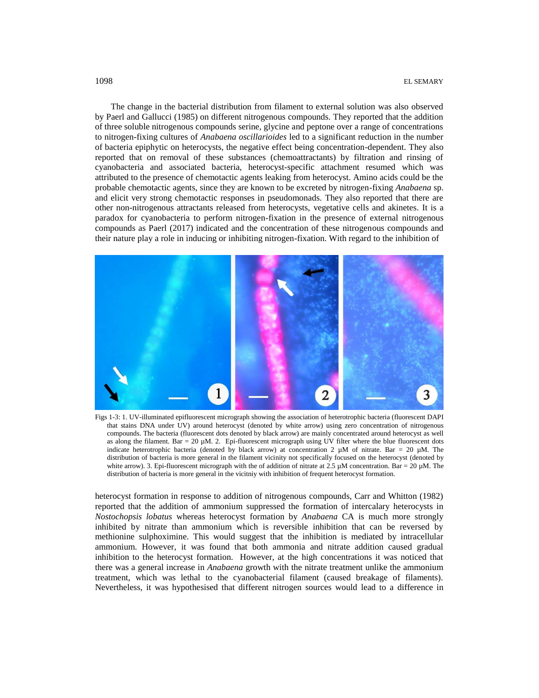The change in the bacterial distribution from filament to external solution was also observed by Paerl and Gallucci (1985) on different nitrogenous compounds. They reported that the addition of three soluble nitrogenous compounds serine, glycine and peptone over a range of concentrations to nitrogen-fixing cultures of *Anabaena oscillarioides* led to a significant reduction in the number of bacteria epiphytic on heterocysts, the negative effect being concentration-dependent. They also reported that on removal of these substances (chemoattractants) by filtration and rinsing of cyanobacteria and associated bacteria, heterocyst-specific attachment resumed which was attributed to the presence of chemotactic agents leaking from heterocyst. Amino acids could be the probable chemotactic agents, since they are known to be excreted by nitrogen-fixing *Anabaena* sp. and elicit very strong chemotactic responses in pseudomonads. They also reported that there are other non-nitrogenous attractants released from heterocysts, vegetative cells and akinetes. It is a paradox for cyanobacteria to perform nitrogen-fixation in the presence of external nitrogenous compounds as Paerl (2017) indicated and the concentration of these nitrogenous compounds and their nature play a role in inducing or inhibiting nitrogen-fixation. With regard to the inhibition of



Figs 1-3: 1. UV-illuminated epifluorescent micrograph showing the association of heterotrophic bacteria (fluorescent DAPI that stains DNA under UV) around heterocyst (denoted by white arrow) using zero concentration of nitrogenous compounds. The bacteria (fluorescent dots denoted by black arrow) are mainly concentrated around heterocyst as well as along the filament. Bar = 20  $\mu$ M. 2. Epi-fluorescent micrograph using UV filter where the blue fluorescent dots indicate heterotrophic bacteria (denoted by black arrow) at concentration 2 µM of nitrate. Bar = 20 µM. The distribution of bacteria is more general in the filament vicinity not specifically focused on the heterocyst (denoted by white arrow). 3. Epi-fluorescent micrograph with the of addition of nitrate at 2.5  $\mu$ M concentration. Bar = 20  $\mu$ M. The distribution of bacteria is more general in the vicitniy with inhibition of frequent heterocyst formation.

heterocyst formation in response to addition of nitrogenous compounds, Carr and Whitton (1982) reported that the addition of ammonium suppressed the formation of intercalary heterocysts in *Nostochopsis lobatus* whereas heterocyst formation by *Anabaena* CA is much more strongly inhibited by nitrate than ammonium which is reversible inhibition that can be reversed by methionine sulphoximine. This would suggest that the inhibition is mediated by intracellular ammonium. However, it was found that both ammonia and nitrate addition caused gradual inhibition to the heterocyst formation. However, at the high concentrations it was noticed that there was a general increase in *Anabaena* growth with the nitrate treatment unlike the ammonium treatment, which was lethal to the cyanobacterial filament (caused breakage of filaments). Nevertheless, it was hypothesised that different nitrogen sources would lead to a difference in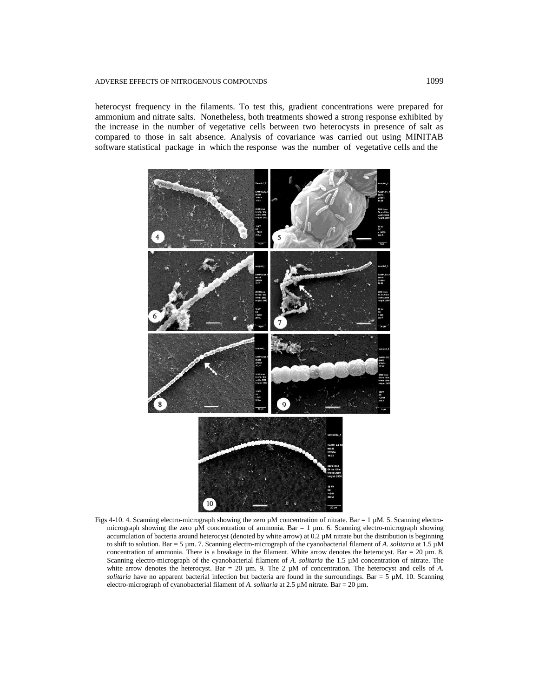#### ADVERSE EFFECTS OF NITROGENOUS COMPOUNDS 1099

heterocyst frequency in the filaments. To test this, gradient concentrations were prepared for ammonium and nitrate salts. Nonetheless, both treatments showed a strong response exhibited by the increase in the number of vegetative cells between two heterocysts in presence of salt as compared to those in salt absence. Analysis of covariance was carried out using MINITAB software statistical package in which the response was the number of vegetative cells and the



Figs 4-10. 4. Scanning electro-micrograph showing the zero  $\mu$ M concentration of nitrate. Bar = 1  $\mu$ M. 5. Scanning electromicrograph showing the zero  $\mu$ M concentration of ammonia. Bar = 1  $\mu$ m. 6. Scanning electro-micrograph showing accumulation of bacteria around heterocyst (denoted by white arrow) at 0.2 µM nitrate but the distribution is beginning to shift to solution. Bar = 5 µm. 7. Scanning electro-micrograph of the cyanobacterial filament of *A. solitaria* at 1.5 µM concentration of ammonia. There is a breakage in the filament. White arrow denotes the heterocyst. Bar = 20 µm. 8. Scanning electro-micrograph of the cyanobacterial filament of *A. solitaria* the 1.5 µM concentration of nitrate. The white arrow denotes the heterocyst. Bar = 20 µm. 9. The 2 µM of concentration. The heterocyst and cells of *A*. *solitaria* have no apparent bacterial infection but bacteria are found in the surroundings. Bar =  $5 \mu M$ . 10. Scanning electro-micrograph of cyanobacterial filament of *A. solitaria* at 2.5 µM nitrate. Bar = 20 µm.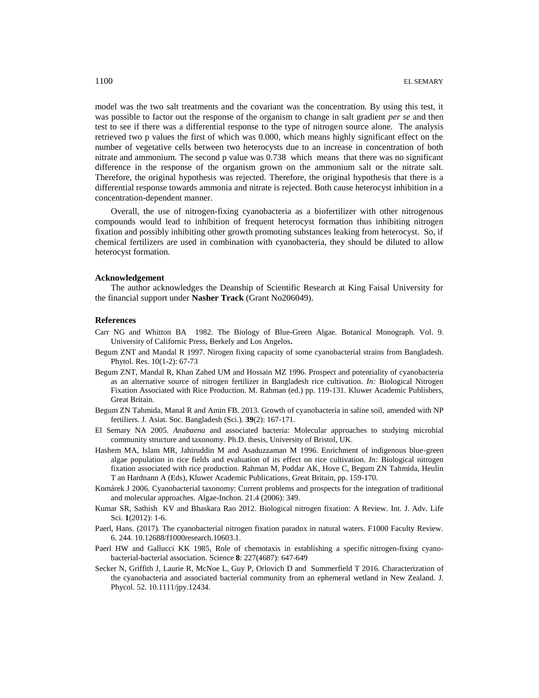model was the two salt treatments and the covariant was the concentration. By using this test, it was possible to factor out the response of the organism to change in salt gradient *per se* and then test to see if there was a differential response to the type of nitrogen source alone. The analysis retrieved two p values the first of which was 0.000, which means highly significant effect on the number of vegetative cells between two heterocysts due to an increase in concentration of both nitrate and ammonium. The second p value was 0.738 which means that there was no significant difference in the response of the organism grown on the ammonium salt or the nitrate salt. Therefore, the original hypothesis was rejected. Therefore, the original hypothesis that there is a differential response towards ammonia and nitrate is rejected. Both cause heterocyst inhibition in a concentration-dependent manner.

Overall, the use of nitrogen-fixing cyanobacteria as a biofertilizer with other nitrogenous compounds would lead to inhibition of frequent heterocyst formation thus inhibiting nitrogen fixation and possibly inhibiting other growth promoting substances leaking from heterocyst. So, if chemical fertilizers are used in combination with cyanobacteria, they should be diluted to allow heterocyst formation.

#### **Acknowledgement**

The author acknowledges the Deanship of Scientific Research at King Faisal University for the financial support under **Nasher Track** (Grant No206049).

### **References**

- Carr NG and Whitton BA 1982. The Biology of Blue-Green Algae. Botanical Monograph. Vol. 9. University of Californic Press, Berkely and Los Angelos**.**
- Begum ZNT and Mandal R 1997. Nirogen fixing capacity of some cyanobacterial strains from Bangladesh. Phytol. Res. 10(1-2): 67-73
- Begum ZNT, Mandal R, Khan Zahed UM and Hossain MZ 1996. Prospect and potentiality of cyanobacteria as an alternative source of nitrogen fertilizer in Bangladesh rice cultivation. *In:* Biological Nitrogen Fixation Associated with Rice Production. M. Rahman (ed.) pp. 119-131. Kluwer Academic Publishers, Great Britain.
- Begum ZN Tahmida, Manal R and Amin FB. 2013. Growth of cyanobacteria in saline soil, amended with NP fertiliers. J. Asiat. Soc. Bangladesh (Sci.). **39**(2): 167-171.
- El Semary NA 2005. *Anabaena* and associated bacteria: Molecular approaches to studying microbial community structure and taxonomy. Ph.D. thesis, University of Bristol, UK.
- Hashem MA, Islam MR, Jahiruddin M and Asaduzzaman M 1996. Enrichment of indigenous blue-green algae population in rice fields and evaluation of its effect on rice cultivation. *In:* Biological nitrogen fixation associated with rice production. Rahman M, Poddar AK, Hove C, Begum ZN Tahmida, Heulin T an Hardnann A (Eds), Kluwer Academic Publications, Great Britain, pp. 159-170.
- Komárek J 2006. Cyanobacterial taxonomy: Current problems and prospects for the integration of traditional and molecular approaches. Algae-Inchon. 21.4 (2006): 349.
- Kumar SR, Sathish KV and Bhaskara Rao 2012. Biological nitrogen fixation: A Review. Int. J. Adv. Life Sci. **1**(2012): 1-6.
- Paerl, Hans. (2017). The cyanobacterial nitrogen fixation paradox in natural waters. F1000 Faculty Review. 6. 244. 10.12688/f1000research.10603.1.
- Paerl HW and Gallucci KK 1985, Role of chemotaxis in establishing a specific nitrogen-fixing cyanobacterial-bacterial association. Science **8**: 227(4687): 647-649
- Secker N, Griffith J, Laurie R, McNoe L, Guy P, Orlovich D and Summerfield T 2016. Characterization of the cyanobacteria and associated bacterial community from an ephemeral wetland in New Zealand. J. Phycol. 52. 10.1111/jpy.12434.